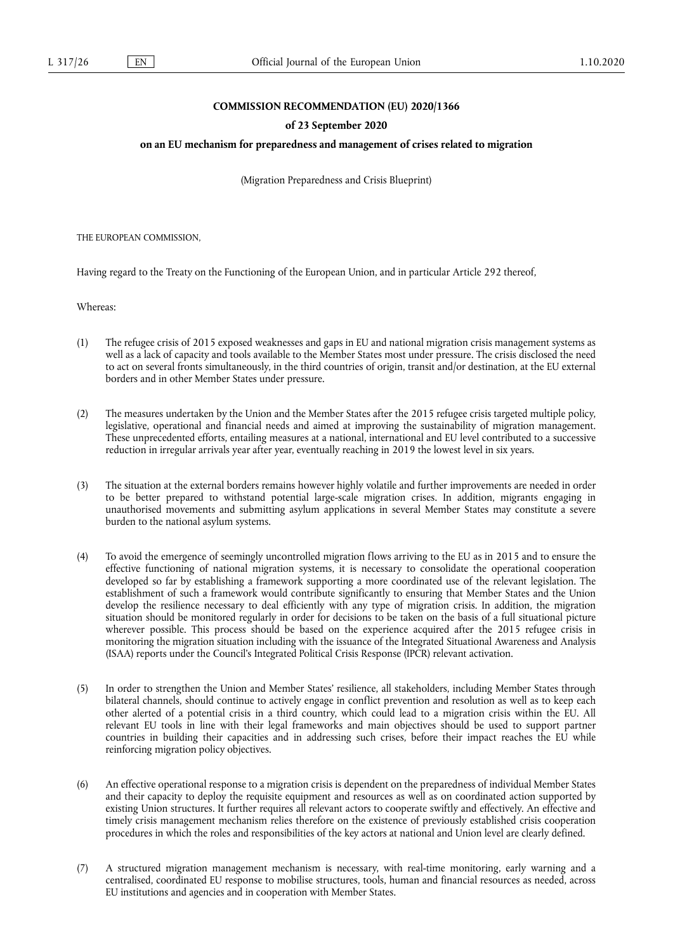## **COMMISSION RECOMMENDATION (EU) 2020/1366**

#### **of 23 September 2020**

## **on an EU mechanism for preparedness and management of crises related to migration**

(Migration Preparedness and Crisis Blueprint)

THE EUROPEAN COMMISSION,

Having regard to the Treaty on the Functioning of the European Union, and in particular Article 292 thereof,

Whereas:

- (1) The refugee crisis of 2015 exposed weaknesses and gaps in EU and national migration crisis management systems as well as a lack of capacity and tools available to the Member States most under pressure. The crisis disclosed the need to act on several fronts simultaneously, in the third countries of origin, transit and/or destination, at the EU external borders and in other Member States under pressure.
- (2) The measures undertaken by the Union and the Member States after the 2015 refugee crisis targeted multiple policy, legislative, operational and financial needs and aimed at improving the sustainability of migration management. These unprecedented efforts, entailing measures at a national, international and EU level contributed to a successive reduction in irregular arrivals year after year, eventually reaching in 2019 the lowest level in six years.
- (3) The situation at the external borders remains however highly volatile and further improvements are needed in order to be better prepared to withstand potential large-scale migration crises. In addition, migrants engaging in unauthorised movements and submitting asylum applications in several Member States may constitute a severe burden to the national asylum systems.
- (4) To avoid the emergence of seemingly uncontrolled migration flows arriving to the EU as in 2015 and to ensure the effective functioning of national migration systems, it is necessary to consolidate the operational cooperation developed so far by establishing a framework supporting a more coordinated use of the relevant legislation. The establishment of such a framework would contribute significantly to ensuring that Member States and the Union develop the resilience necessary to deal efficiently with any type of migration crisis. In addition, the migration situation should be monitored regularly in order for decisions to be taken on the basis of a full situational picture wherever possible. This process should be based on the experience acquired after the 2015 refugee crisis in monitoring the migration situation including with the issuance of the Integrated Situational Awareness and Analysis (ISAA) reports under the Council's Integrated Political Crisis Response (IPCR) relevant activation.
- (5) In order to strengthen the Union and Member States' resilience, all stakeholders, including Member States through bilateral channels, should continue to actively engage in conflict prevention and resolution as well as to keep each other alerted of a potential crisis in a third country, which could lead to a migration crisis within the EU. All relevant EU tools in line with their legal frameworks and main objectives should be used to support partner countries in building their capacities and in addressing such crises, before their impact reaches the EU while reinforcing migration policy objectives.
- (6) An effective operational response to a migration crisis is dependent on the preparedness of individual Member States and their capacity to deploy the requisite equipment and resources as well as on coordinated action supported by existing Union structures. It further requires all relevant actors to cooperate swiftly and effectively. An effective and timely crisis management mechanism relies therefore on the existence of previously established crisis cooperation procedures in which the roles and responsibilities of the key actors at national and Union level are clearly defined.
- (7) A structured migration management mechanism is necessary, with real-time monitoring, early warning and a centralised, coordinated EU response to mobilise structures, tools, human and financial resources as needed, across EU institutions and agencies and in cooperation with Member States.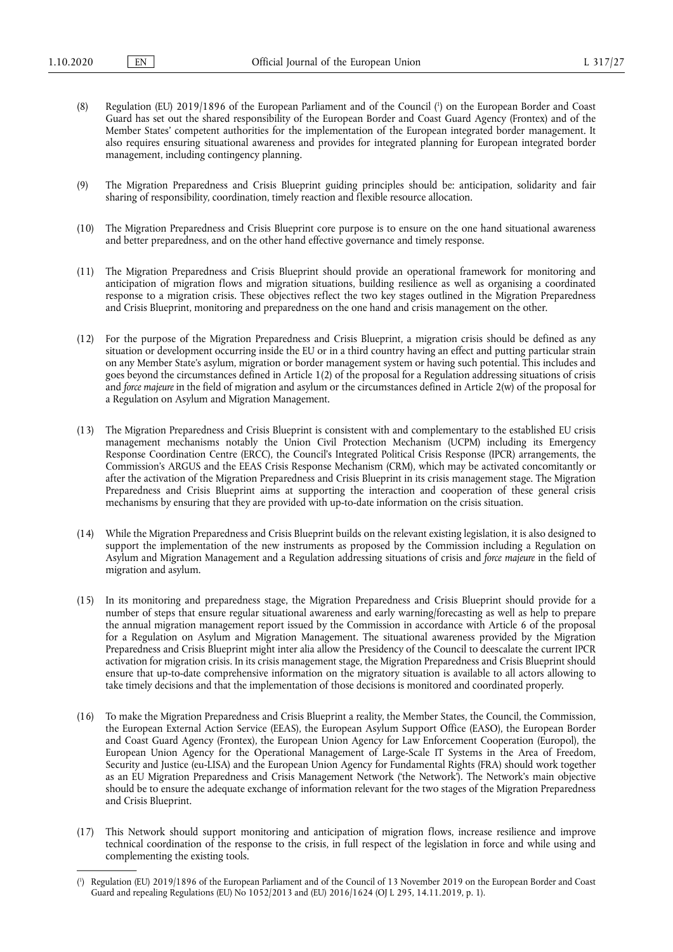- <span id="page-1-1"></span>(8) Regulation (EU) 2019/1896 of the European Parliament and of the Counci[l \(1](#page-1-0) ) on the European Border and Coast Guard has set out the shared responsibility of the European Border and Coast Guard Agency (Frontex) and of the Member States' competent authorities for the implementation of the European integrated border management. It also requires ensuring situational awareness and provides for integrated planning for European integrated border management, including contingency planning.
- (9) The Migration Preparedness and Crisis Blueprint guiding principles should be: anticipation, solidarity and fair sharing of responsibility, coordination, timely reaction and flexible resource allocation.
- (10) The Migration Preparedness and Crisis Blueprint core purpose is to ensure on the one hand situational awareness and better preparedness, and on the other hand effective governance and timely response.
- (11) The Migration Preparedness and Crisis Blueprint should provide an operational framework for monitoring and anticipation of migration flows and migration situations, building resilience as well as organising a coordinated response to a migration crisis. These objectives reflect the two key stages outlined in the Migration Preparedness and Crisis Blueprint, monitoring and preparedness on the one hand and crisis management on the other.
- (12) For the purpose of the Migration Preparedness and Crisis Blueprint, a migration crisis should be defined as any situation or development occurring inside the EU or in a third country having an effect and putting particular strain on any Member State's asylum, migration or border management system or having such potential. This includes and goes beyond the circumstances defined in Article 1(2) of the proposal for a Regulation addressing situations of crisis and *force majeure* in the field of migration and asylum or the circumstances defined in Article 2(w) of the proposal for a Regulation on Asylum and Migration Management.
- (13) The Migration Preparedness and Crisis Blueprint is consistent with and complementary to the established EU crisis management mechanisms notably the Union Civil Protection Mechanism (UCPM) including its Emergency Response Coordination Centre (ERCC), the Council's Integrated Political Crisis Response (IPCR) arrangements, the Commission's ARGUS and the EEAS Crisis Response Mechanism (CRM), which may be activated concomitantly or after the activation of the Migration Preparedness and Crisis Blueprint in its crisis management stage. The Migration Preparedness and Crisis Blueprint aims at supporting the interaction and cooperation of these general crisis mechanisms by ensuring that they are provided with up-to-date information on the crisis situation.
- (14) While the Migration Preparedness and Crisis Blueprint builds on the relevant existing legislation, it is also designed to support the implementation of the new instruments as proposed by the Commission including a Regulation on Asylum and Migration Management and a Regulation addressing situations of crisis and *force majeure* in the field of migration and asylum.
- (15) In its monitoring and preparedness stage, the Migration Preparedness and Crisis Blueprint should provide for a number of steps that ensure regular situational awareness and early warning/forecasting as well as help to prepare the annual migration management report issued by the Commission in accordance with Article 6 of the proposal for a Regulation on Asylum and Migration Management. The situational awareness provided by the Migration Preparedness and Crisis Blueprint might inter alia allow the Presidency of the Council to deescalate the current IPCR activation for migration crisis. In its crisis management stage, the Migration Preparedness and Crisis Blueprint should ensure that up-to-date comprehensive information on the migratory situation is available to all actors allowing to take timely decisions and that the implementation of those decisions is monitored and coordinated properly.
- (16) To make the Migration Preparedness and Crisis Blueprint a reality, the Member States, the Council, the Commission, the European External Action Service (EEAS), the European Asylum Support Office (EASO), the European Border and Coast Guard Agency (Frontex), the European Union Agency for Law Enforcement Cooperation (Europol), the European Union Agency for the Operational Management of Large-Scale IT Systems in the Area of Freedom, Security and Justice (eu-LISA) and the European Union Agency for Fundamental Rights (FRA) should work together as an EU Migration Preparedness and Crisis Management Network ('the Network'). The Network's main objective should be to ensure the adequate exchange of information relevant for the two stages of the Migration Preparedness and Crisis Blueprint.
- (17) This Network should support monitoring and anticipation of migration flows, increase resilience and improve technical coordination of the response to the crisis, in full respect of the legislation in force and while using and complementing the existing tools.

<span id="page-1-0"></span><sup>(</sup> 1 [\) R](#page-1-1)egulation (EU) 2019/1896 of the European Parliament and of the Council of 13 November 2019 on the European Border and Coast Guard and repealing Regulations (EU) No 1052/2013 and (EU) 2016/1624 (OJ L 295, 14.11.2019, p. 1).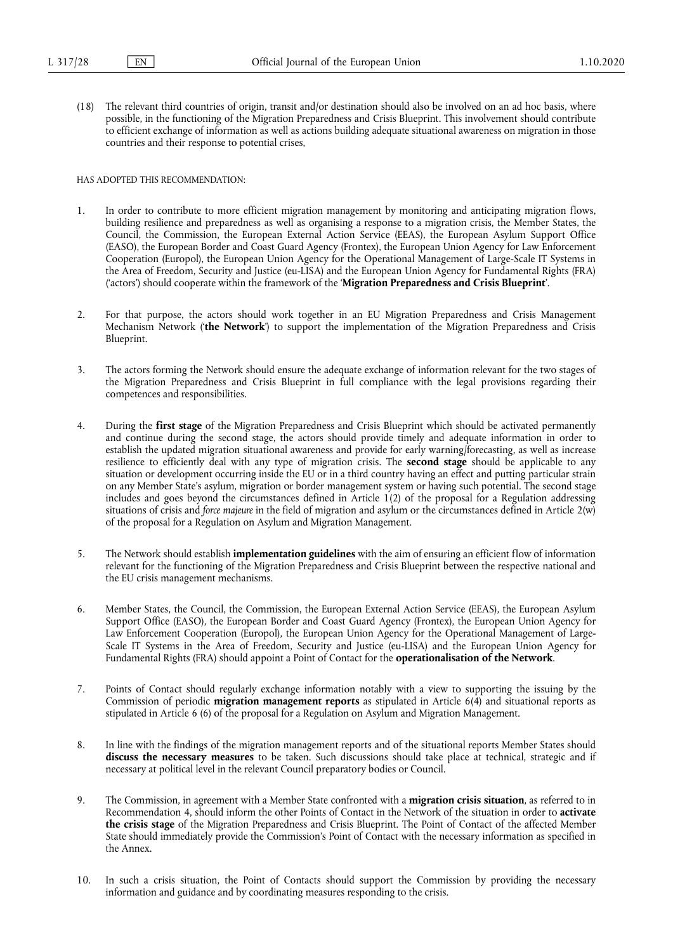(18) The relevant third countries of origin, transit and/or destination should also be involved on an ad hoc basis, where possible, in the functioning of the Migration Preparedness and Crisis Blueprint. This involvement should contribute to efficient exchange of information as well as actions building adequate situational awareness on migration in those countries and their response to potential crises,

## HAS ADOPTED THIS RECOMMENDATION:

- 1. In order to contribute to more efficient migration management by monitoring and anticipating migration flows, building resilience and preparedness as well as organising a response to a migration crisis, the Member States, the Council, the Commission, the European External Action Service (EEAS), the European Asylum Support Office (EASO), the European Border and Coast Guard Agency (Frontex), the European Union Agency for Law Enforcement Cooperation (Europol), the European Union Agency for the Operational Management of Large-Scale IT Systems in the Area of Freedom, Security and Justice (eu-LISA) and the European Union Agency for Fundamental Rights (FRA) ('actors') should cooperate within the framework of the '**Migration Preparedness and Crisis Blueprint**'.
- 2. For that purpose, the actors should work together in an EU Migration Preparedness and Crisis Management Mechanism Network ('**the Network**') to support the implementation of the Migration Preparedness and Crisis Blueprint.
- 3. The actors forming the Network should ensure the adequate exchange of information relevant for the two stages of the Migration Preparedness and Crisis Blueprint in full compliance with the legal provisions regarding their competences and responsibilities.
- 4. During the **first stage** of the Migration Preparedness and Crisis Blueprint which should be activated permanently and continue during the second stage, the actors should provide timely and adequate information in order to establish the updated migration situational awareness and provide for early warning/forecasting, as well as increase resilience to efficiently deal with any type of migration crisis. The **second stage** should be applicable to any situation or development occurring inside the EU or in a third country having an effect and putting particular strain on any Member State's asylum, migration or border management system or having such potential. The second stage includes and goes beyond the circumstances defined in Article 1(2) of the proposal for a Regulation addressing situations of crisis and *force majeure* in the field of migration and asylum or the circumstances defined in Article 2(w) of the proposal for a Regulation on Asylum and Migration Management.
- 5. The Network should establish **implementation guidelines** with the aim of ensuring an efficient flow of information relevant for the functioning of the Migration Preparedness and Crisis Blueprint between the respective national and the EU crisis management mechanisms.
- 6. Member States, the Council, the Commission, the European External Action Service (EEAS), the European Asylum Support Office (EASO), the European Border and Coast Guard Agency (Frontex), the European Union Agency for Law Enforcement Cooperation (Europol), the European Union Agency for the Operational Management of Large-Scale IT Systems in the Area of Freedom, Security and Justice (eu-LISA) and the European Union Agency for Fundamental Rights (FRA) should appoint a Point of Contact for the **operationalisation of the Network**.
- 7. Points of Contact should regularly exchange information notably with a view to supporting the issuing by the Commission of periodic **migration management reports** as stipulated in Article 6(4) and situational reports as stipulated in Article 6 (6) of the proposal for a Regulation on Asylum and Migration Management.
- 8. In line with the findings of the migration management reports and of the situational reports Member States should **discuss the necessary measures** to be taken. Such discussions should take place at technical, strategic and if necessary at political level in the relevant Council preparatory bodies or Council.
- 9. The Commission, in agreement with a Member State confronted with a **migration crisis situation**, as referred to in Recommendation 4, should inform the other Points of Contact in the Network of the situation in order to **activate the crisis stage** of the Migration Preparedness and Crisis Blueprint. The Point of Contact of the affected Member State should immediately provide the Commission's Point of Contact with the necessary information as specified in the Annex.
- 10. In such a crisis situation, the Point of Contacts should support the Commission by providing the necessary information and guidance and by coordinating measures responding to the crisis.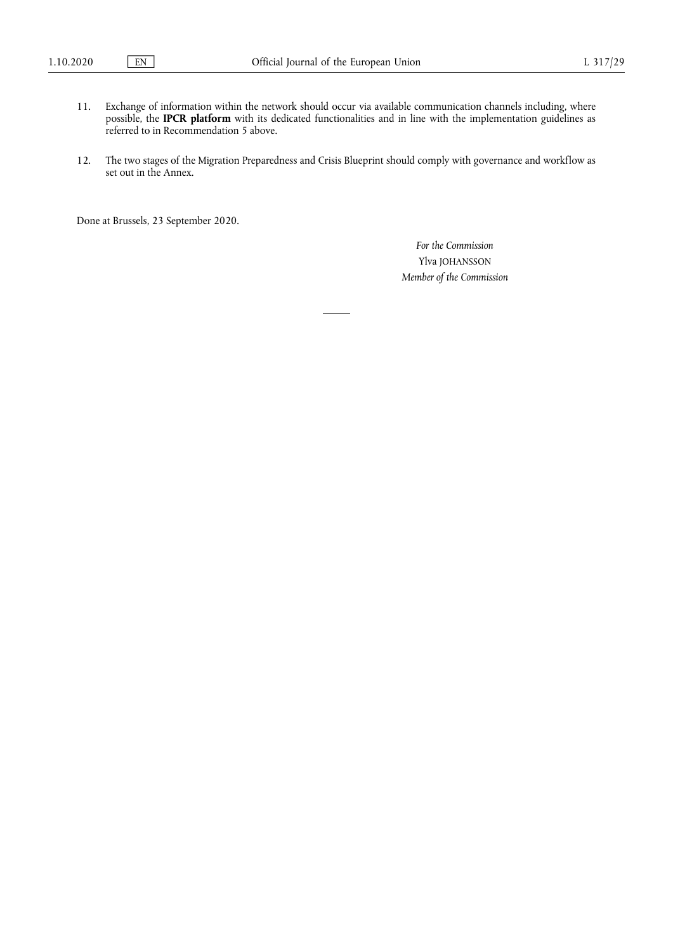- 11. Exchange of information within the network should occur via available communication channels including, where possible, the **IPCR platform** with its dedicated functionalities and in line with the implementation guidelines as referred to in Recommendation 5 above.
- 12. The two stages of the Migration Preparedness and Crisis Blueprint should comply with governance and workflow as set out in the Annex.

Done at Brussels, 23 September 2020.

*For the Commission*  Ylva JOHANSSON *Member of the Commission*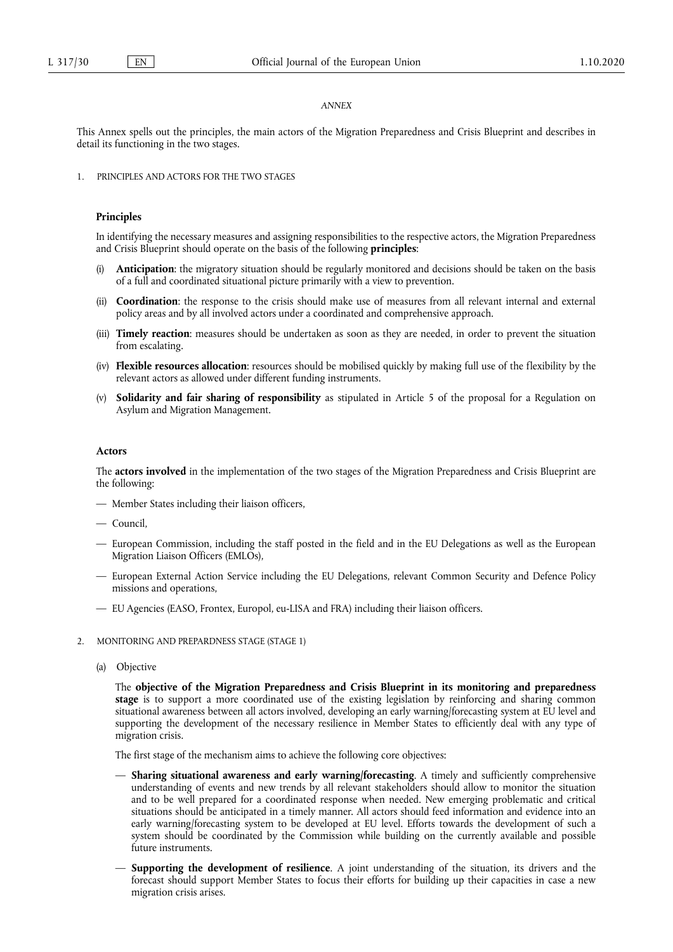## *ANNEX*

This Annex spells out the principles, the main actors of the Migration Preparedness and Crisis Blueprint and describes in detail its functioning in the two stages.

1. PRINCIPLES AND ACTORS FOR THE TWO STAGES

## **Principles**

In identifying the necessary measures and assigning responsibilities to the respective actors, the Migration Preparedness and Crisis Blueprint should operate on the basis of the following **principles**:

- **Anticipation**: the migratory situation should be regularly monitored and decisions should be taken on the basis of a full and coordinated situational picture primarily with a view to prevention.
- (ii) **Coordination**: the response to the crisis should make use of measures from all relevant internal and external policy areas and by all involved actors under a coordinated and comprehensive approach.
- (iii) **Timely reaction**: measures should be undertaken as soon as they are needed, in order to prevent the situation from escalating.
- (iv) **Flexible resources allocation**: resources should be mobilised quickly by making full use of the flexibility by the relevant actors as allowed under different funding instruments.
- (v) **Solidarity and fair sharing of responsibility** as stipulated in Article 5 of the proposal for a Regulation on Asylum and Migration Management.

## **Actors**

The **actors involved** in the implementation of the two stages of the Migration Preparedness and Crisis Blueprint are the following:

- Member States including their liaison officers,
- Council,
- European Commission, including the staff posted in the field and in the EU Delegations as well as the European Migration Liaison Officers (EMLOs),
- European External Action Service including the EU Delegations, relevant Common Security and Defence Policy missions and operations,
- EU Agencies (EASO, Frontex, Europol, eu-LISA and FRA) including their liaison officers.
- 2. MONITORING AND PREPARDNESS STAGE (STAGE 1)
	- (a) Objective

The **objective of the Migration Preparedness and Crisis Blueprint in its monitoring and preparedness stage** is to support a more coordinated use of the existing legislation by reinforcing and sharing common situational awareness between all actors involved, developing an early warning/forecasting system at EU level and supporting the development of the necessary resilience in Member States to efficiently deal with any type of migration crisis.

The first stage of the mechanism aims to achieve the following core objectives:

- **Sharing situational awareness and early warning/forecasting**. A timely and sufficiently comprehensive understanding of events and new trends by all relevant stakeholders should allow to monitor the situation and to be well prepared for a coordinated response when needed. New emerging problematic and critical situations should be anticipated in a timely manner. All actors should feed information and evidence into an early warning/forecasting system to be developed at EU level. Efforts towards the development of such a system should be coordinated by the Commission while building on the currently available and possible future instruments.
- **Supporting the development of resilience**. A joint understanding of the situation, its drivers and the forecast should support Member States to focus their efforts for building up their capacities in case a new migration crisis arises.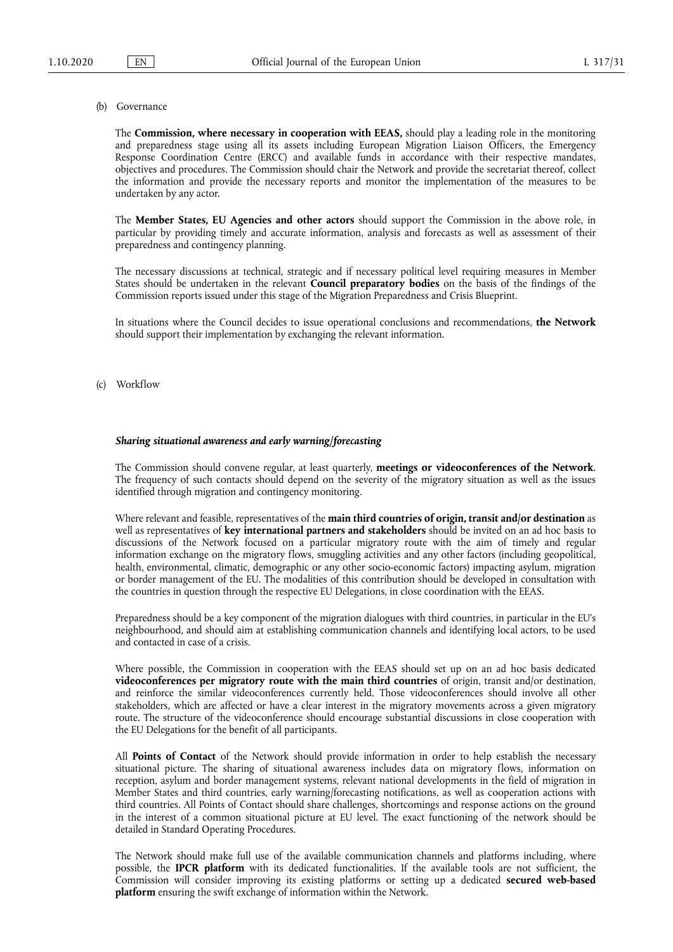(b) Governance

The **Commission, where necessary in cooperation with EEAS,** should play a leading role in the monitoring and preparedness stage using all its assets including European Migration Liaison Officers, the Emergency Response Coordination Centre (ERCC) and available funds in accordance with their respective mandates, objectives and procedures. The Commission should chair the Network and provide the secretariat thereof, collect the information and provide the necessary reports and monitor the implementation of the measures to be undertaken by any actor.

The **Member States, EU Agencies and other actors** should support the Commission in the above role, in particular by providing timely and accurate information, analysis and forecasts as well as assessment of their preparedness and contingency planning.

The necessary discussions at technical, strategic and if necessary political level requiring measures in Member States should be undertaken in the relevant **Council preparatory bodies** on the basis of the findings of the Commission reports issued under this stage of the Migration Preparedness and Crisis Blueprint.

In situations where the Council decides to issue operational conclusions and recommendations, **the Network**  should support their implementation by exchanging the relevant information.

(c) Workflow

## *Sharing situational awareness and early warning/forecasting*

The Commission should convene regular, at least quarterly, **meetings or videoconferences of the Network**. The frequency of such contacts should depend on the severity of the migratory situation as well as the issues identified through migration and contingency monitoring.

Where relevant and feasible, representatives of the **main third countries of origin, transit and/or destination** as well as representatives of **key international partners and stakeholders** should be invited on an ad hoc basis to discussions of the Network focused on a particular migratory route with the aim of timely and regular information exchange on the migratory flows, smuggling activities and any other factors (including geopolitical, health, environmental, climatic, demographic or any other socio-economic factors) impacting asylum, migration or border management of the EU. The modalities of this contribution should be developed in consultation with the countries in question through the respective EU Delegations, in close coordination with the EEAS.

Preparedness should be a key component of the migration dialogues with third countries, in particular in the EU's neighbourhood, and should aim at establishing communication channels and identifying local actors, to be used and contacted in case of a crisis.

Where possible, the Commission in cooperation with the EEAS should set up on an ad hoc basis dedicated **videoconferences per migratory route with the main third countries** of origin, transit and/or destination, and reinforce the similar videoconferences currently held. Those videoconferences should involve all other stakeholders, which are affected or have a clear interest in the migratory movements across a given migratory route. The structure of the videoconference should encourage substantial discussions in close cooperation with the EU Delegations for the benefit of all participants.

All **Points of Contact** of the Network should provide information in order to help establish the necessary situational picture. The sharing of situational awareness includes data on migratory flows, information on reception, asylum and border management systems, relevant national developments in the field of migration in Member States and third countries, early warning/forecasting notifications, as well as cooperation actions with third countries. All Points of Contact should share challenges, shortcomings and response actions on the ground in the interest of a common situational picture at EU level. The exact functioning of the network should be detailed in Standard Operating Procedures.

The Network should make full use of the available communication channels and platforms including, where possible, the **IPCR platform** with its dedicated functionalities. If the available tools are not sufficient, the Commission will consider improving its existing platforms or setting up a dedicated **secured web-based platform** ensuring the swift exchange of information within the Network.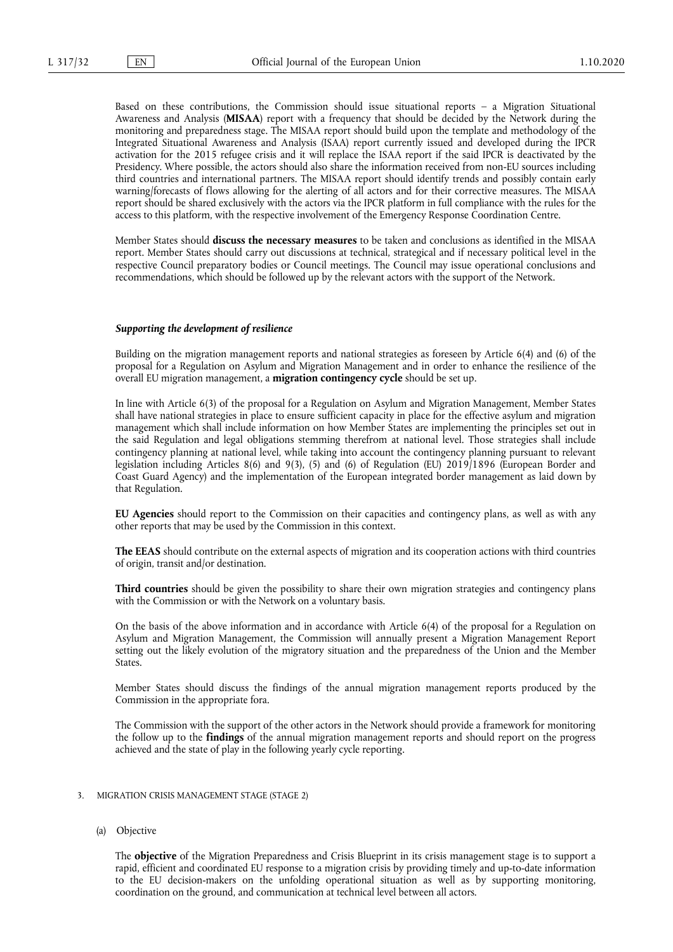Based on these contributions, the Commission should issue situational reports – a Migration Situational Awareness and Analysis (**MISAA**) report with a frequency that should be decided by the Network during the monitoring and preparedness stage. The MISAA report should build upon the template and methodology of the Integrated Situational Awareness and Analysis (ISAA) report currently issued and developed during the IPCR activation for the 2015 refugee crisis and it will replace the ISAA report if the said IPCR is deactivated by the Presidency. Where possible, the actors should also share the information received from non-EU sources including third countries and international partners. The MISAA report should identify trends and possibly contain early warning/forecasts of flows allowing for the alerting of all actors and for their corrective measures. The MISAA report should be shared exclusively with the actors via the IPCR platform in full compliance with the rules for the access to this platform, with the respective involvement of the Emergency Response Coordination Centre.

Member States should **discuss the necessary measures** to be taken and conclusions as identified in the MISAA report. Member States should carry out discussions at technical, strategical and if necessary political level in the respective Council preparatory bodies or Council meetings. The Council may issue operational conclusions and recommendations, which should be followed up by the relevant actors with the support of the Network.

#### *Supporting the development of resilience*

Building on the migration management reports and national strategies as foreseen by Article 6(4) and (6) of the proposal for a Regulation on Asylum and Migration Management and in order to enhance the resilience of the overall EU migration management, a **migration contingency cycle** should be set up.

In line with Article 6(3) of the proposal for a Regulation on Asylum and Migration Management, Member States shall have national strategies in place to ensure sufficient capacity in place for the effective asylum and migration management which shall include information on how Member States are implementing the principles set out in the said Regulation and legal obligations stemming therefrom at national level. Those strategies shall include contingency planning at national level, while taking into account the contingency planning pursuant to relevant legislation including Articles 8(6) and 9(3), (5) and (6) of Regulation (EU) 2019/1896 (European Border and Coast Guard Agency) and the implementation of the European integrated border management as laid down by that Regulation.

**EU Agencies** should report to the Commission on their capacities and contingency plans, as well as with any other reports that may be used by the Commission in this context.

**The EEAS** should contribute on the external aspects of migration and its cooperation actions with third countries of origin, transit and/or destination.

**Third countries** should be given the possibility to share their own migration strategies and contingency plans with the Commission or with the Network on a voluntary basis.

On the basis of the above information and in accordance with Article 6(4) of the proposal for a Regulation on Asylum and Migration Management, the Commission will annually present a Migration Management Report setting out the likely evolution of the migratory situation and the preparedness of the Union and the Member States.

Member States should discuss the findings of the annual migration management reports produced by the Commission in the appropriate fora.

The Commission with the support of the other actors in the Network should provide a framework for monitoring the follow up to the **findings** of the annual migration management reports and should report on the progress achieved and the state of play in the following yearly cycle reporting.

#### 3. MIGRATION CRISIS MANAGEMENT STAGE (STAGE 2)

## (a) Objective

The **objective** of the Migration Preparedness and Crisis Blueprint in its crisis management stage is to support a rapid, efficient and coordinated EU response to a migration crisis by providing timely and up-to-date information to the EU decision-makers on the unfolding operational situation as well as by supporting monitoring, coordination on the ground, and communication at technical level between all actors.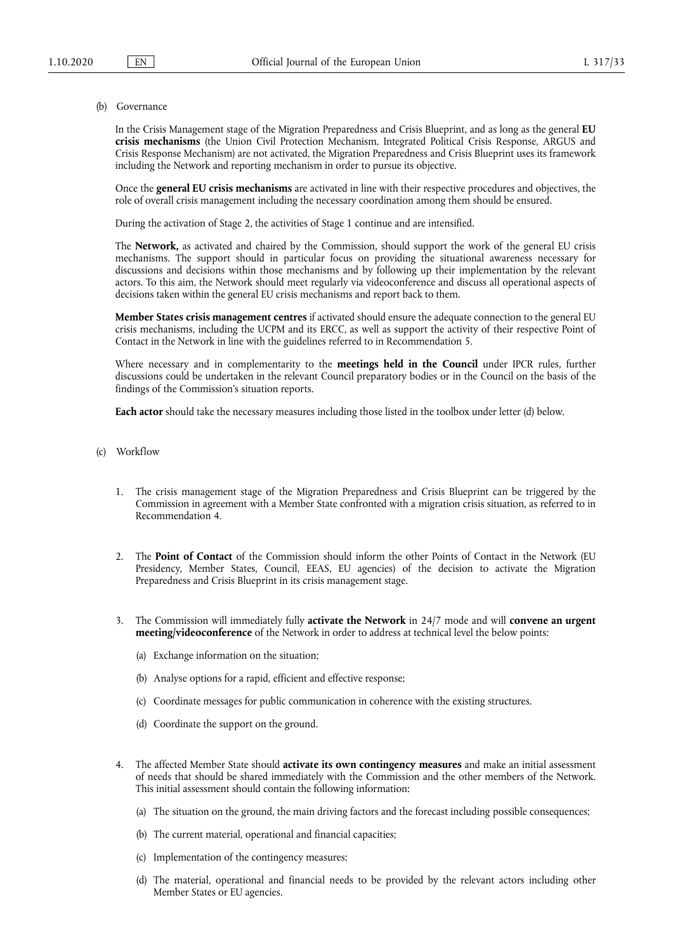#### (b) Governance

In the Crisis Management stage of the Migration Preparedness and Crisis Blueprint, and as long as the general **EU crisis mechanisms** (the Union Civil Protection Mechanism, Integrated Political Crisis Response, ARGUS and Crisis Response Mechanism) are not activated, the Migration Preparedness and Crisis Blueprint uses its framework including the Network and reporting mechanism in order to pursue its objective.

Once the **general EU crisis mechanisms** are activated in line with their respective procedures and objectives, the role of overall crisis management including the necessary coordination among them should be ensured.

During the activation of Stage 2, the activities of Stage 1 continue and are intensified.

The **Network,** as activated and chaired by the Commission, should support the work of the general EU crisis mechanisms. The support should in particular focus on providing the situational awareness necessary for discussions and decisions within those mechanisms and by following up their implementation by the relevant actors. To this aim, the Network should meet regularly via videoconference and discuss all operational aspects of decisions taken within the general EU crisis mechanisms and report back to them.

**Member States crisis management centres** if activated should ensure the adequate connection to the general EU crisis mechanisms, including the UCPM and its ERCC, as well as support the activity of their respective Point of Contact in the Network in line with the guidelines referred to in Recommendation 5.

Where necessary and in complementarity to the **meetings held in the Council** under IPCR rules, further discussions could be undertaken in the relevant Council preparatory bodies or in the Council on the basis of the findings of the Commission's situation reports.

**Each actor** should take the necessary measures including those listed in the toolbox under letter (d) below.

- (c) Workflow
	- 1. The crisis management stage of the Migration Preparedness and Crisis Blueprint can be triggered by the Commission in agreement with a Member State confronted with a migration crisis situation, as referred to in Recommendation 4.
	- 2. The **Point of Contact** of the Commission should inform the other Points of Contact in the Network (EU Presidency, Member States, Council, EEAS, EU agencies) of the decision to activate the Migration Preparedness and Crisis Blueprint in its crisis management stage.
	- 3. The Commission will immediately fully **activate the Network** in 24/7 mode and will **convene an urgent meeting/videoconference** of the Network in order to address at technical level the below points:
		- (a) Exchange information on the situation;
		- (b) Analyse options for a rapid, efficient and effective response;
		- (c) Coordinate messages for public communication in coherence with the existing structures.
		- (d) Coordinate the support on the ground.
	- 4. The affected Member State should **activate its own contingency measures** and make an initial assessment of needs that should be shared immediately with the Commission and the other members of the Network. This initial assessment should contain the following information:
		- (a) The situation on the ground, the main driving factors and the forecast including possible consequences;
		- (b) The current material, operational and financial capacities;
		- (c) Implementation of the contingency measures;
		- (d) The material, operational and financial needs to be provided by the relevant actors including other Member States or EU agencies.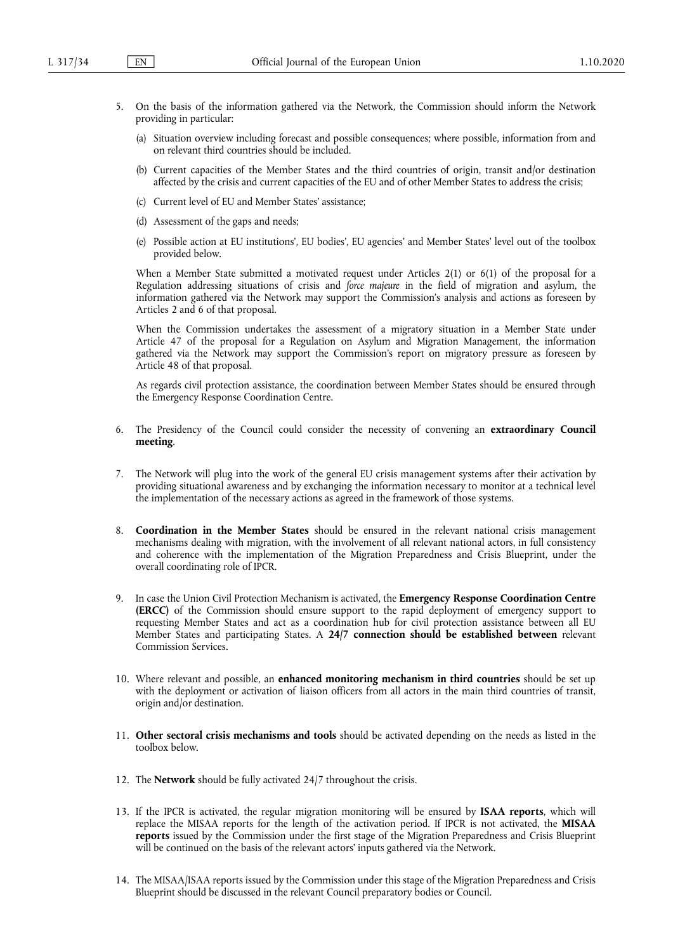- 5. On the basis of the information gathered via the Network, the Commission should inform the Network providing in particular:
	- (a) Situation overview including forecast and possible consequences; where possible, information from and on relevant third countries should be included.
	- (b) Current capacities of the Member States and the third countries of origin, transit and/or destination affected by the crisis and current capacities of the EU and of other Member States to address the crisis;
	- (c) Current level of EU and Member States' assistance;
	- (d) Assessment of the gaps and needs;
	- (e) Possible action at EU institutions', EU bodies', EU agencies' and Member States' level out of the toolbox provided below.

When a Member State submitted a motivated request under Articles 2(1) or 6(1) of the proposal for a Regulation addressing situations of crisis and *force majeure* in the field of migration and asylum, the information gathered via the Network may support the Commission's analysis and actions as foreseen by Articles 2 and 6 of that proposal.

When the Commission undertakes the assessment of a migratory situation in a Member State under Article 47 of the proposal for a Regulation on Asylum and Migration Management, the information gathered via the Network may support the Commission's report on migratory pressure as foreseen by Article 48 of that proposal.

As regards civil protection assistance, the coordination between Member States should be ensured through the Emergency Response Coordination Centre.

- 6. The Presidency of the Council could consider the necessity of convening an **extraordinary Council meeting**.
- 7. The Network will plug into the work of the general EU crisis management systems after their activation by providing situational awareness and by exchanging the information necessary to monitor at a technical level the implementation of the necessary actions as agreed in the framework of those systems.
- 8. **Coordination in the Member States** should be ensured in the relevant national crisis management mechanisms dealing with migration, with the involvement of all relevant national actors, in full consistency and coherence with the implementation of the Migration Preparedness and Crisis Blueprint, under the overall coordinating role of IPCR.
- 9. In case the Union Civil Protection Mechanism is activated, the **Emergency Response Coordination Centre (ERCC)** of the Commission should ensure support to the rapid deployment of emergency support to requesting Member States and act as a coordination hub for civil protection assistance between all EU Member States and participating States. A **24/7 connection should be established between** relevant Commission Services.
- 10. Where relevant and possible, an **enhanced monitoring mechanism in third countries** should be set up with the deployment or activation of liaison officers from all actors in the main third countries of transit, origin and/or destination.
- 11. **Other sectoral crisis mechanisms and tools** should be activated depending on the needs as listed in the toolbox below.
- 12. The **Network** should be fully activated 24/7 throughout the crisis.
- 13. If the IPCR is activated, the regular migration monitoring will be ensured by **ISAA reports**, which will replace the MISAA reports for the length of the activation period. If IPCR is not activated, the **MISAA reports** issued by the Commission under the first stage of the Migration Preparedness and Crisis Blueprint will be continued on the basis of the relevant actors' inputs gathered via the Network.
- 14. The MISAA/ISAA reports issued by the Commission under this stage of the Migration Preparedness and Crisis Blueprint should be discussed in the relevant Council preparatory bodies or Council.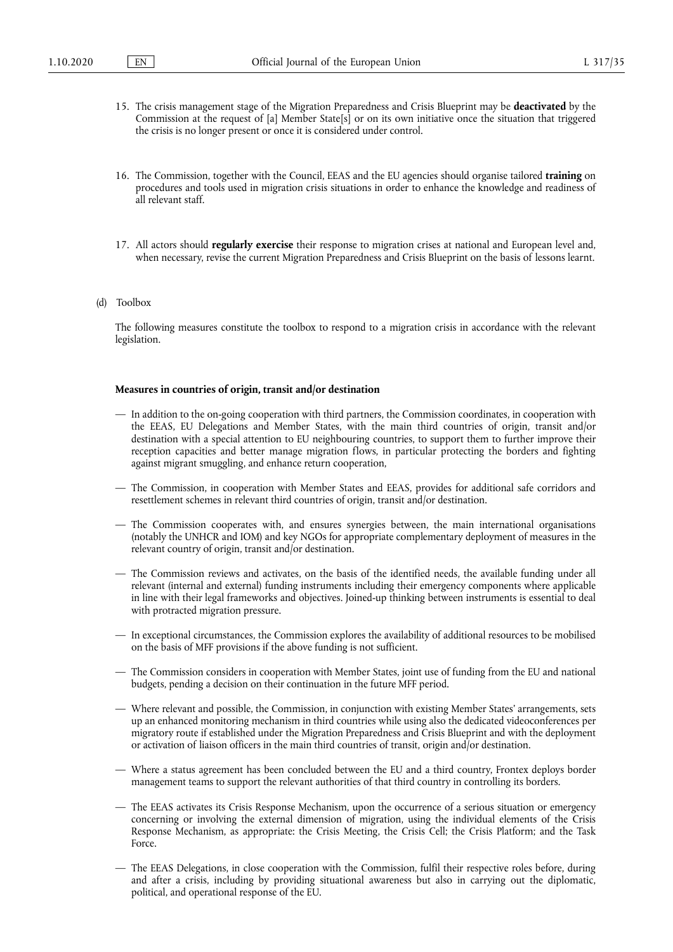- 15. The crisis management stage of the Migration Preparedness and Crisis Blueprint may be **deactivated** by the Commission at the request of [a] Member State[s] or on its own initiative once the situation that triggered the crisis is no longer present or once it is considered under control.
- 16. The Commission, together with the Council, EEAS and the EU agencies should organise tailored **training** on procedures and tools used in migration crisis situations in order to enhance the knowledge and readiness of all relevant staff.
- 17. All actors should **regularly exercise** their response to migration crises at national and European level and, when necessary, revise the current Migration Preparedness and Crisis Blueprint on the basis of lessons learnt.
- (d) Toolbox

The following measures constitute the toolbox to respond to a migration crisis in accordance with the relevant legislation.

## **Measures in countries of origin, transit and/or destination**

- In addition to the on-going cooperation with third partners, the Commission coordinates, in cooperation with the EEAS, EU Delegations and Member States, with the main third countries of origin, transit and/or destination with a special attention to EU neighbouring countries, to support them to further improve their reception capacities and better manage migration flows, in particular protecting the borders and fighting against migrant smuggling, and enhance return cooperation,
- The Commission, in cooperation with Member States and EEAS, provides for additional safe corridors and resettlement schemes in relevant third countries of origin, transit and/or destination.
- The Commission cooperates with, and ensures synergies between, the main international organisations (notably the UNHCR and IOM) and key NGOs for appropriate complementary deployment of measures in the relevant country of origin, transit and/or destination.
- The Commission reviews and activates, on the basis of the identified needs, the available funding under all relevant (internal and external) funding instruments including their emergency components where applicable in line with their legal frameworks and objectives. Joined-up thinking between instruments is essential to deal with protracted migration pressure.
- In exceptional circumstances, the Commission explores the availability of additional resources to be mobilised on the basis of MFF provisions if the above funding is not sufficient.
- The Commission considers in cooperation with Member States, joint use of funding from the EU and national budgets, pending a decision on their continuation in the future MFF period.
- Where relevant and possible, the Commission, in conjunction with existing Member States' arrangements, sets up an enhanced monitoring mechanism in third countries while using also the dedicated videoconferences per migratory route if established under the Migration Preparedness and Crisis Blueprint and with the deployment or activation of liaison officers in the main third countries of transit, origin and/or destination.
- Where a status agreement has been concluded between the EU and a third country, Frontex deploys border management teams to support the relevant authorities of that third country in controlling its borders.
- The EEAS activates its Crisis Response Mechanism, upon the occurrence of a serious situation or emergency concerning or involving the external dimension of migration, using the individual elements of the Crisis Response Mechanism, as appropriate: the Crisis Meeting, the Crisis Cell; the Crisis Platform; and the Task Force.
- The EEAS Delegations, in close cooperation with the Commission, fulfil their respective roles before, during and after a crisis, including by providing situational awareness but also in carrying out the diplomatic, political, and operational response of the EU.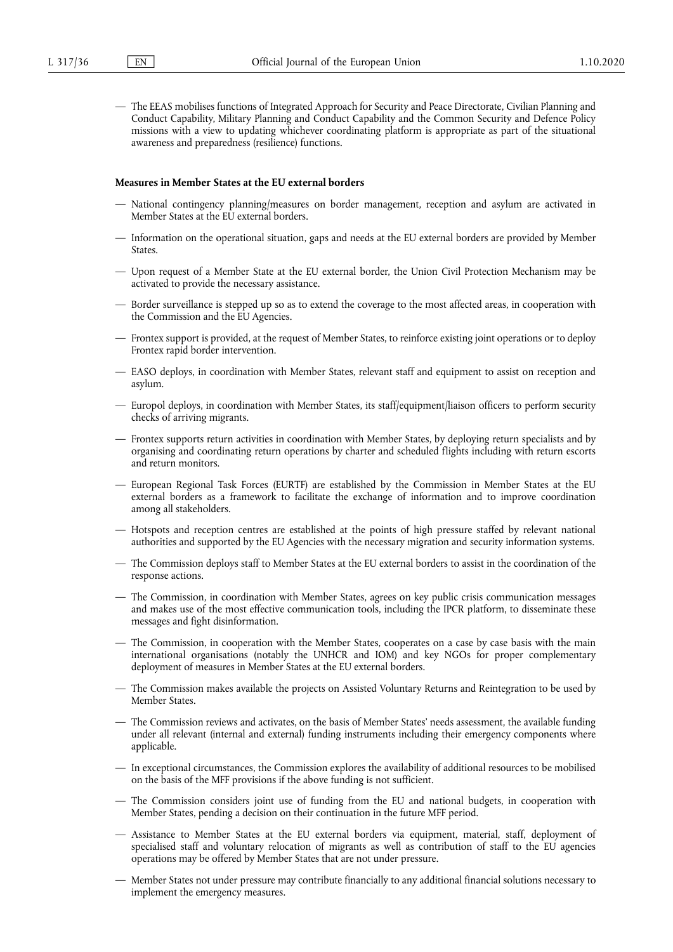— The EEAS mobilises functions of Integrated Approach for Security and Peace Directorate, Civilian Planning and Conduct Capability, Military Planning and Conduct Capability and the Common Security and Defence Policy missions with a view to updating whichever coordinating platform is appropriate as part of the situational awareness and preparedness (resilience) functions.

## **Measures in Member States at the EU external borders**

- National contingency planning/measures on border management, reception and asylum are activated in Member States at the EU external borders.
- Information on the operational situation, gaps and needs at the EU external borders are provided by Member States.
- Upon request of a Member State at the EU external border, the Union Civil Protection Mechanism may be activated to provide the necessary assistance.
- Border surveillance is stepped up so as to extend the coverage to the most affected areas, in cooperation with the Commission and the EU Agencies.
- Frontex support is provided, at the request of Member States, to reinforce existing joint operations or to deploy Frontex rapid border intervention.
- EASO deploys, in coordination with Member States, relevant staff and equipment to assist on reception and asylum.
- Europol deploys, in coordination with Member States, its staff/equipment/liaison officers to perform security checks of arriving migrants.
- Frontex supports return activities in coordination with Member States, by deploying return specialists and by organising and coordinating return operations by charter and scheduled flights including with return escorts and return monitors.
- European Regional Task Forces (EURTF) are established by the Commission in Member States at the EU external borders as a framework to facilitate the exchange of information and to improve coordination among all stakeholders.
- Hotspots and reception centres are established at the points of high pressure staffed by relevant national authorities and supported by the EU Agencies with the necessary migration and security information systems.
- The Commission deploys staff to Member States at the EU external borders to assist in the coordination of the response actions.
- The Commission, in coordination with Member States, agrees on key public crisis communication messages and makes use of the most effective communication tools, including the IPCR platform, to disseminate these messages and fight disinformation.
- The Commission, in cooperation with the Member States, cooperates on a case by case basis with the main international organisations (notably the UNHCR and IOM) and key NGOs for proper complementary deployment of measures in Member States at the EU external borders.
- The Commission makes available the projects on Assisted Voluntary Returns and Reintegration to be used by Member States.
- The Commission reviews and activates, on the basis of Member States' needs assessment, the available funding under all relevant (internal and external) funding instruments including their emergency components where applicable.
- In exceptional circumstances, the Commission explores the availability of additional resources to be mobilised on the basis of the MFF provisions if the above funding is not sufficient.
- The Commission considers joint use of funding from the EU and national budgets, in cooperation with Member States, pending a decision on their continuation in the future MFF period.
- Assistance to Member States at the EU external borders via equipment, material, staff, deployment of specialised staff and voluntary relocation of migrants as well as contribution of staff to the EU agencies operations may be offered by Member States that are not under pressure.
- Member States not under pressure may contribute financially to any additional financial solutions necessary to implement the emergency measures.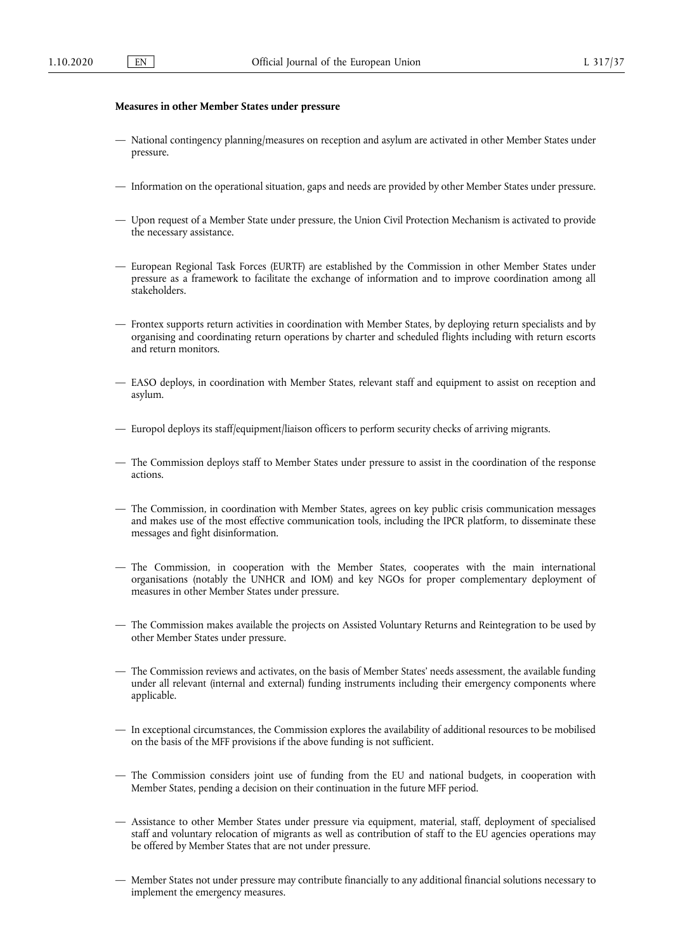## **Measures in other Member States under pressure**

- National contingency planning/measures on reception and asylum are activated in other Member States under pressure.
- Information on the operational situation, gaps and needs are provided by other Member States under pressure.
- Upon request of a Member State under pressure, the Union Civil Protection Mechanism is activated to provide the necessary assistance.
- European Regional Task Forces (EURTF) are established by the Commission in other Member States under pressure as a framework to facilitate the exchange of information and to improve coordination among all stakeholders.
- Frontex supports return activities in coordination with Member States, by deploying return specialists and by organising and coordinating return operations by charter and scheduled flights including with return escorts and return monitors.
- EASO deploys, in coordination with Member States, relevant staff and equipment to assist on reception and asylum.
- Europol deploys its staff/equipment/liaison officers to perform security checks of arriving migrants.
- The Commission deploys staff to Member States under pressure to assist in the coordination of the response actions.
- The Commission, in coordination with Member States, agrees on key public crisis communication messages and makes use of the most effective communication tools, including the IPCR platform, to disseminate these messages and fight disinformation.
- The Commission, in cooperation with the Member States, cooperates with the main international organisations (notably the UNHCR and IOM) and key NGOs for proper complementary deployment of measures in other Member States under pressure.
- The Commission makes available the projects on Assisted Voluntary Returns and Reintegration to be used by other Member States under pressure.
- The Commission reviews and activates, on the basis of Member States' needs assessment, the available funding under all relevant (internal and external) funding instruments including their emergency components where applicable.
- In exceptional circumstances, the Commission explores the availability of additional resources to be mobilised on the basis of the MFF provisions if the above funding is not sufficient.
- The Commission considers joint use of funding from the EU and national budgets, in cooperation with Member States, pending a decision on their continuation in the future MFF period.
- Assistance to other Member States under pressure via equipment, material, staff, deployment of specialised staff and voluntary relocation of migrants as well as contribution of staff to the EU agencies operations may be offered by Member States that are not under pressure.
- Member States not under pressure may contribute financially to any additional financial solutions necessary to implement the emergency measures.